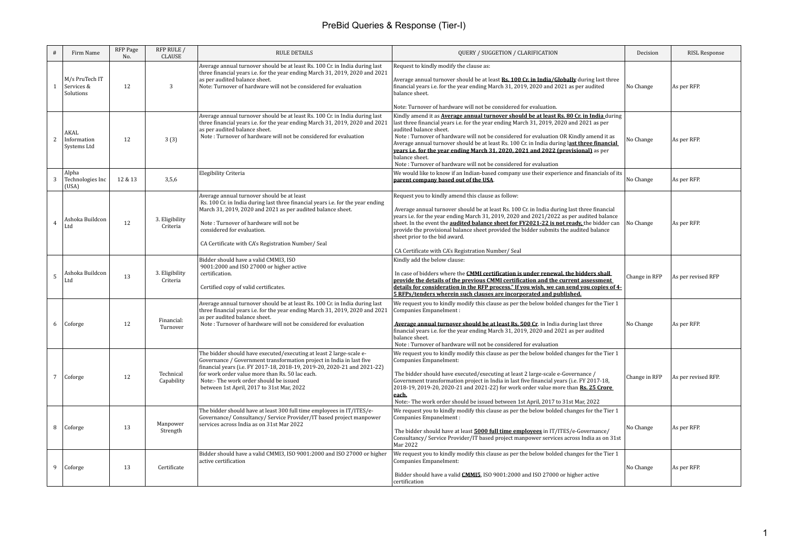|   |                            | Firm Name                                 | RFP Page<br>No. | RFP RULE /<br>CLAUSE       | <b>RULE DETAILS</b>                                                                                                                                                                                                                                                                                                                                               | QUERY / SUGGETION / CLARIFICATION                                                                                                                                                                                                                                                                                                                                                                                                                                                                                                                                                         | Decision      | <b>RISL Response</b> |
|---|----------------------------|-------------------------------------------|-----------------|----------------------------|-------------------------------------------------------------------------------------------------------------------------------------------------------------------------------------------------------------------------------------------------------------------------------------------------------------------------------------------------------------------|-------------------------------------------------------------------------------------------------------------------------------------------------------------------------------------------------------------------------------------------------------------------------------------------------------------------------------------------------------------------------------------------------------------------------------------------------------------------------------------------------------------------------------------------------------------------------------------------|---------------|----------------------|
|   |                            | M/s PruTech IT<br>Services &<br>Solutions | 12              | 3                          | Average annual turnover should be at least Rs. 100 Cr. in India during last<br>three financial years i.e. for the year ending March 31, 2019, 2020 and 2021<br>as per audited balance sheet.<br>Note: Turnover of hardware will not be considered for evaluation                                                                                                  | Request to kindly modify the clause as:<br>Average annual turnover should be at least <b>Rs. 100 Cr. in India/Globally</b> during last three<br>financial years i.e. for the year ending March 31, 2019, 2020 and 2021 as per audited<br>balance sheet.<br>Note: Turnover of hardware will not be considered for evaluation.                                                                                                                                                                                                                                                              | No Change     | As per RFP.          |
| 2 | AKAL                       | Information<br>Systems Ltd                | 12              | 3(3)                       | Average annual turnover should be at least Rs. 100 Cr. in India during last<br>three financial years i.e. for the year ending March 31, 2019, 2020 and 2021<br>as per audited balance sheet.<br>Note: Turnover of hardware will not be considered for evaluation                                                                                                  | Kindly amend it as <b>Average annual turnover should be at least Rs. 80 Cr. in India</b> during<br>last three financial years i.e. for the year ending March 31, 2019, 2020 and 2021 as per<br>audited balance sheet.<br>Note: Turnover of hardware will not be considered for evaluation OR Kindly amend it as<br>Average annual turnover should be at least Rs. 100 Cr. in India during last three financial<br>years i.e. for the year ending March 31, 2020, 2021 and 2022 (provisional) as per<br>balance sheet.<br>Note: Turnover of hardware will not be considered for evaluation | No Change     | As per RFP.          |
| 3 | Alpha<br>(USA)             | Technologies Inc                          | 12 & 13         | 3,5,6                      | Elegibility Criteria                                                                                                                                                                                                                                                                                                                                              | We would like to know if an Indian-based company use their experience and financials of its<br>parent company based out of the USA.                                                                                                                                                                                                                                                                                                                                                                                                                                                       | No Change     | As per RFP.          |
|   | Ltd                        | Ashoka Buildcon                           | 12              | 3. Eligibility<br>Criteria | Average annual turnover should be at least<br>Rs. 100 Cr. in India during last three financial years i.e. for the year ending<br>March 31, 2019, 2020 and 2021 as per audited balance sheet.<br>Note: Turnover of hardware will not be<br>considered for evaluation.<br>CA Certificate with CA's Registration Number/ Seal                                        | Request you to kindly amend this clause as follow:<br>Average annual turnover should be at least Rs. 100 Cr. in India during last three financial<br>years i.e. for the year ending March 31, 2019, 2020 and 2021/2022 as per audited balance<br>sheet. In the event the <b>audited balance sheet for FY2021-22 is not ready</b> the bidder can<br>provide the provisional balance sheet provided the bidder submits the audited balance<br>sheet prior to the bid award.                                                                                                                 | No Change     | As per RFP.          |
| 5 | Ltd                        | Ashoka Buildcon                           | 13              | 3. Eligibility<br>Criteria | Bidder should have a valid CMMI3. ISO<br>9001:2000 and ISO 27000 or higher active<br>certification.<br>Certified copy of valid certificates.                                                                                                                                                                                                                      | CA Certificate with CA's Registration Number/ Seal<br>Kindly add the below clause:<br>In case of bidders where the CMMI certification is under renewal, the bidders shall<br>provide the details of the previous CMMI certification and the current assessment<br>details for consideration in the RFP process." If you wish, we can send you copies of 4-<br>5 RFPs/tenders wherein such clauses are incorporated and published.                                                                                                                                                         | Change in RFP | As per revised RFP   |
|   | Coforge<br>6               |                                           | 12              | Financial:<br>Turnover     | Average annual turnover should be at least Rs. 100 Cr. in India during last<br>three financial years i.e. for the year ending March 31, 2019, 2020 and 2021<br>as per audited balance sheet.<br>Note: Turnover of hardware will not be considered for evaluation                                                                                                  | We request you to kindly modify this clause as per the below bolded changes for the Tier 1<br>Companies Empanelment :<br><b>Average annual turnover should be at least Rs. 500 Cr.</b> in India during last three<br>financial years i.e. for the year ending March 31, 2019, 2020 and 2021 as per audited<br>balance sheet.<br>Note: Turnover of hardware will not be considered for evaluation                                                                                                                                                                                          | No Change     | As per RFP.          |
|   | $7\overline{ }$<br>Coforge |                                           | 12              | Technical<br>Capability    | The bidder should have executed/executing at least 2 large-scale e-<br>Governance / Government transformation project in India in last five<br>financial years (i.e. FY 2017-18, 2018-19, 2019-20, 2020-21 and 2021-22)<br>for work order value more than Rs. 50 lac each.<br>Note:- The work order should be issued<br>between 1st April, 2017 to 31st Mar, 2022 | We request you to kindly modify this clause as per the below bolded changes for the Tier 1<br>Companies Empanelment:<br>The bidder should have executed/executing at least 2 large-scale e-Governance /<br>Government transformation project in India in last five financial years (i.e. FY 2017-18,<br>2018-19, 2019-20, 2020-21 and 2021-22) for work order value more than Rs. 25 Crore<br>each.<br>Note:- The work order should be issued between 1st April, 2017 to 31st Mar, 2022                                                                                                   | Change in RFP | As per revised RFP.  |
|   | 8                          | Coforge                                   | 13              | Manpower<br>Strength       | The bidder should have at least 300 full time employees in IT/ITES/e-<br>Governance/ Consultancy/ Service Provider/IT based project manpower<br>services across India as on 31st Mar 2022                                                                                                                                                                         | We request you to kindly modify this clause as per the below bolded changes for the Tier 1<br>Companies Empanelment:<br>The bidder should have at least <b>5000 full time employees</b> in IT/ITES/e-Governance/<br>Consultancy/Service Provider/IT based project manpower services across India as on 31st<br>Mar 2022                                                                                                                                                                                                                                                                   | No Change     | As per RFP.          |
|   | 9                          | Coforge                                   | 13              | Certificate                | Bidder should have a valid CMMI3, ISO 9001:2000 and ISO 27000 or higher<br>active certification                                                                                                                                                                                                                                                                   | We request you to kindly modify this clause as per the below bolded changes for the Tier 1<br>Companies Empanelment:<br>Bidder should have a valid CMMI5, ISO 9001:2000 and ISO 27000 or higher active<br>certification                                                                                                                                                                                                                                                                                                                                                                   | No Change     | As per RFP.          |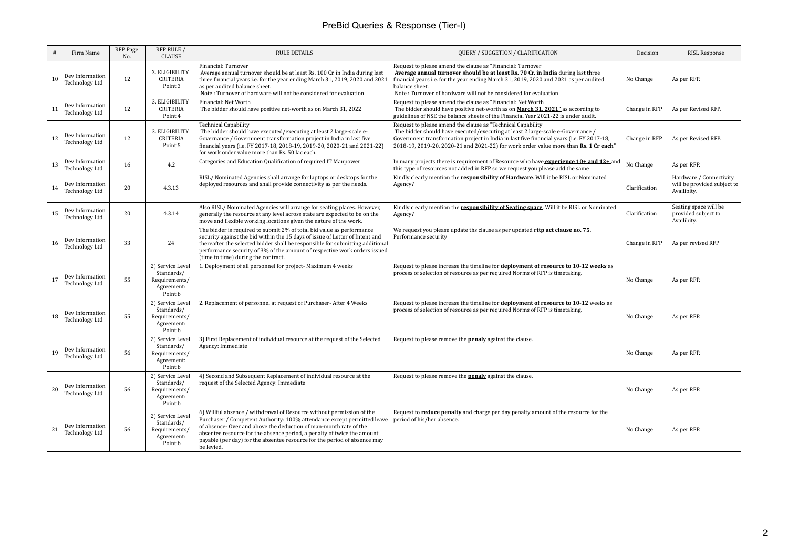|    | Firm Name                                | RFP Page<br>No. | RFP RULE /<br>CLAUSE                                                     | <b>RULE DETAILS</b>                                                                                                                                                                                                                                                                                                                                                                        | QUERY / SUGGETION / CLARIFICATION                                                                                                                                                                                                                                                                                                   | Decision      | <b>RISL Response</b>                                                  |
|----|------------------------------------------|-----------------|--------------------------------------------------------------------------|--------------------------------------------------------------------------------------------------------------------------------------------------------------------------------------------------------------------------------------------------------------------------------------------------------------------------------------------------------------------------------------------|-------------------------------------------------------------------------------------------------------------------------------------------------------------------------------------------------------------------------------------------------------------------------------------------------------------------------------------|---------------|-----------------------------------------------------------------------|
| 10 | Dev Information<br>Technology Ltd        | 12              | 3. ELIGIBILITY<br>CRITERIA<br>Point 3                                    | Financial: Turnover<br>Average annual turnover should be at least Rs. 100 Cr. in India during last<br>three financial years i.e. for the year ending March 31, 2019, 2020 and 2021<br>as per audited balance sheet.<br>Note: Turnover of hardware will not be considered for evaluation                                                                                                    | Request to please amend the clause as "Financial: Turnover<br>Average annual turnover should be at least Rs. 70 Cr. in India during last three<br>financial years i.e. for the year ending March 31, 2019, 2020 and 2021 as per audited<br>balance sheet.<br>Note: Turnover of hardware will not be considered for evaluation       | No Change     | As per RFP.                                                           |
| 11 | Dev Information<br><b>Technology Ltd</b> | 12              | 3. ELIGIBILITY<br><b>CRITERIA</b><br>Point 4                             | Financial: Net Worth<br>The bidder should have positive net-worth as on March 31, 2022                                                                                                                                                                                                                                                                                                     | Request to please amend the clause as "Financial: Net Worth<br>The bidder should have positive net-worth as on <b>March 31, 2021</b> as according to<br>guidelines of NSE the balance sheets of the Financial Year 2021-22 is under audit.                                                                                          | Change in RFP | As per Revised RFP.                                                   |
| 12 | Dev Information<br>Technology Ltd        | 12              | 3. ELIGIBILITY<br>CRITERIA<br>Point 5                                    | <b>Technical Capability</b><br>The bidder should have executed/executing at least 2 large-scale e-<br>Governance / Government transformation project in India in last five<br>financial years (i.e. FY 2017-18, 2018-19, 2019-20, 2020-21 and 2021-22)<br>for work order value more than Rs. 50 lac each.                                                                                  | Request to please amend the clause as "Technical Capability<br>The bidder should have executed/executing at least 2 large-scale e-Governance /<br>Government transformation project in India in last five financial years (i.e. FY 2017-18,<br>2018-19, 2019-20, 2020-21 and 2021-22) for work order value more than Rs. 1 Cr each" | Change in RFP | As per Revised RFP.                                                   |
| 13 | Dev Information<br>Technology Ltd        | 16              | 4.2                                                                      | Categories and Education Qualification of required IT Manpower                                                                                                                                                                                                                                                                                                                             | In many projects there is requirement of Resource who have <b>experience <math>10+</math> and <math>12+</math></b> and<br>this type of resources not added in RFP so we request you please add the same                                                                                                                             | No Change     | As per RFP.                                                           |
| 14 | Dev Information<br>Technology Ltd        | 20              | 4.3.13                                                                   | RISL/Nominated Agencies shall arrange for laptops or desktops for the<br>deployed resources and shall provide connectivity as per the needs.                                                                                                                                                                                                                                               | Kindly clearly mention the <b>responsibility of Hardware</b> . Will it be RISL or Nominated<br>Agency?                                                                                                                                                                                                                              | Clarification | Hardware / Connectivity<br>will be provided subject to<br>Availibity. |
| 15 | Dev Information<br>Technology Ltd        | 20              | 4.3.14                                                                   | Also RISL/Nominated Agencies will arrange for seating places. However,<br>generally the resource at any level across state are expected to be on the<br>move and flexible working locations given the nature of the work.                                                                                                                                                                  | Kindly clearly mention the responsibility of Seating space. Will it be RISL or Nominated<br>Agency?                                                                                                                                                                                                                                 | Clarification | Seating space will be<br>provided subject to<br>Availibity.           |
| 16 | Dev Information<br>Technology Ltd        | 33              | 24                                                                       | The bidder is required to submit 2% of total bid value as performance<br>security against the bid within the 15 days of issue of Letter of Intent and<br>thereafter the selected bidder shall be responsible for submitting additional<br>performance security of 3% of the amount of respective work orders issued<br>(time to time) during the contract.                                 | We request you please update ths clause as per updated rttp act clause no. 75.<br>Performance security                                                                                                                                                                                                                              | Change in RFP | As per revised RFP                                                    |
| 17 | Dev Information<br>Technology Ltd        | 55              | 2) Service Level<br>Standards/<br>Requirements/<br>Agreement:<br>Point b | 1. Deployment of all personnel for project- Maximum 4 weeks                                                                                                                                                                                                                                                                                                                                | Request to please increase the timeline for <b>deployment of resource to 10-12 weeks</b> as<br>process of selection of resource as per required Norms of RFP is timetaking.                                                                                                                                                         | No Change     | As per RFP.                                                           |
| 18 | Dev Information<br>Technology Ltd        | 55              | 2) Service Level<br>Standards/<br>Requirements/<br>Agreement:<br>Point b | 2. Replacement of personnel at request of Purchaser-After 4 Weeks                                                                                                                                                                                                                                                                                                                          | Request to please increase the timeline for <b>deployment of resource to 10-12</b> weeks as<br>process of selection of resource as per required Norms of RFP is timetaking.                                                                                                                                                         | No Change     | As per RFP.                                                           |
| 19 | Dev Information<br>Technology Ltd        | 56              | 2) Service Level<br>Standards/<br>Requirements/<br>Agreement:<br>Point b | 3) First Replacement of individual resource at the request of the Selected<br>Agency: Immediate                                                                                                                                                                                                                                                                                            | Request to please remove the <b>penaly</b> against the clause.                                                                                                                                                                                                                                                                      | No Change     | As per RFP.                                                           |
| 20 | Dev Information<br><b>Technology Ltd</b> | 56              | 2) Service Level<br>Standards/<br>Requirements/<br>Agreement:<br>Point b | 4) Second and Subsequent Replacement of individual resource at the<br>request of the Selected Agency: Immediate                                                                                                                                                                                                                                                                            | Request to please remove the <b>penaly</b> against the clause.                                                                                                                                                                                                                                                                      | No Change     | As per RFP.                                                           |
| 21 | Dev Information<br>Technology Ltd        | 56              | 2) Service Level<br>Standards/<br>Requirements/<br>Agreement:<br>Point b | 6) Willful absence / withdrawal of Resource without permission of the<br>Purchaser / Competent Authority: 100% attendance except permitted leave<br>of absence-Over and above the deduction of man-month rate of the<br>absentee resource for the absence period, a penalty of twice the amount<br>payable (per day) for the absentee resource for the period of absence may<br>be levied. | Request to <b>reduce penalty</b> and charge per day penalty amount of the resource for the<br>period of his/her absence.                                                                                                                                                                                                            | No Change     | As per RFP.                                                           |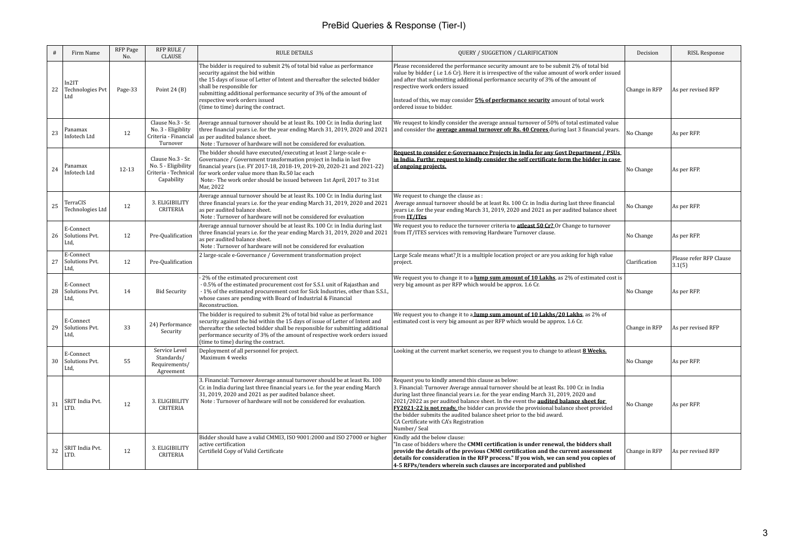|    | Firm Name                           | RFP Page<br>No. | RFP RULE /<br>CLAUSE                                                           | <b>RULE DETAILS</b>                                                                                                                                                                                                                                                                                                                                              | QUERY / SUGGETION / CLARIFICATION                                                                                                                                                                                                                                                                                                                                                                                                                                                                                                                        | Decision      | <b>RISL Response</b>              |
|----|-------------------------------------|-----------------|--------------------------------------------------------------------------------|------------------------------------------------------------------------------------------------------------------------------------------------------------------------------------------------------------------------------------------------------------------------------------------------------------------------------------------------------------------|----------------------------------------------------------------------------------------------------------------------------------------------------------------------------------------------------------------------------------------------------------------------------------------------------------------------------------------------------------------------------------------------------------------------------------------------------------------------------------------------------------------------------------------------------------|---------------|-----------------------------------|
| 22 | In2IT<br>Technologies Pvt<br>Ltd    | Page-33         | Point $24(B)$                                                                  | The bidder is required to submit 2% of total bid value as performance<br>security against the bid within<br>the 15 days of issue of Letter of Intent and thereafter the selected bidder<br>shall be responsible for<br>submitting additional performance security of 3% of the amount of<br>respective work orders issued<br>(time to time) during the contract. | Please reconsidered the performance security amount are to be submit 2% of total bid<br>value by bidder (i.e 1.6 Cr). Here it is irrespective of the value amount of work order issued<br>and after that submitting additional performance security of 3% of the amount of<br>respective work orders issued<br>Instead of this, we may consider 5% of performance security amount of total work<br>ordered issue to bidder.                                                                                                                              | Change in RFP | As per revised RFP                |
| 23 | Panamax<br>Infotech Ltd             | 12              | Clause No.3 - Sr.<br>No. 3 - Eligiblity<br>Criteria - Financial<br>Turnover    | Average annual turnover should be at least Rs. 100 Cr. in India during last<br>three financial years i.e. for the year ending March 31, 2019, 2020 and 2021<br>as per audited balance sheet.<br>Note: Turnover of hardware will not be considered for evaluation.                                                                                                | We reugest to kindly consider the average annual turnover of 50% of total estimated value<br>and consider the <b>average annual turnover ofr Rs. 40 Crores</b> during last 3 financial years.                                                                                                                                                                                                                                                                                                                                                            | No Change     | As per RFP.                       |
| 24 | Panamax<br>Infotech Ltd             | $12 - 13$       | Clause No.3 - Sr.<br>No. 5 - Eligibility<br>Criteria - Technical<br>Capability | The bidder should have executed/executing at least 2 large-scale e-<br>Governance / Government transformation project in India in last five<br>financial years (i.e. FY 2017-18, 2018-19, 2019-20, 2020-21 and 2021-22)<br>for work order value more than Rs.50 lac each<br>Note:- The work order should be issued between 1st April, 2017 to 31st<br>Mar, 2022  | Request to consider e-Governaance Projects in India for any Govt Department / PSUs<br>in India. Furthr, request to kindly consider the self certificate form the bidder in case<br>of ongoing projects.                                                                                                                                                                                                                                                                                                                                                  | No Change     | As per RFP.                       |
| 25 | TerraCIS<br>Technologies Ltd        | 12              | 3. ELIGIBILITY<br><b>CRITERIA</b>                                              | Average annual turnover should be at least Rs. 100 Cr. in India during last<br>three financial years i.e. for the year ending March 31, 2019, 2020 and 2021<br>as per audited balance sheet.<br>Note: Turnover of hardware will not be considered for evaluation                                                                                                 | We request to change the clause as :<br>Average annual turnover should be at least Rs. 100 Cr. in India during last three financial<br>years i.e. for the year ending March 31, 2019, 2020 and 2021 as per audited balance sheet<br>from IT/ITes                                                                                                                                                                                                                                                                                                         | No Change     | As per RFP.                       |
| 26 | E-Connect<br>Solutions Pvt.<br>Ltd, | 12              | Pre-Qualification                                                              | Average annual turnover should be at least Rs. 100 Cr. in India during last<br>three financial years i.e. for the year ending March 31, 2019, 2020 and 2021<br>as per audited balance sheet.<br>Note: Turnover of hardware will not be considered for evaluation                                                                                                 | We request you to reduce the turnover criteria to <b>atleast 50 Cr</b> ? Or Change to turnover<br>from IT/ITES services with removing Hardware Turnover clause.                                                                                                                                                                                                                                                                                                                                                                                          | No Change     | As per RFP.                       |
| 27 | E-Connect<br>Solutions Pvt.<br>Ltd, | 12              | Pre-Qualification                                                              | 2 large-scale e-Governance / Government transformation project                                                                                                                                                                                                                                                                                                   | Large Scale means what? It is a multiple location project or are you asking for high value<br>project.                                                                                                                                                                                                                                                                                                                                                                                                                                                   | Clarification | Please refer RFP Clause<br>3.1(5) |
| 28 | E-Connect<br>Solutions Pvt.<br>Ltd, | 14              | <b>Bid Security</b>                                                            | 2% of the estimated procurement cost<br>0.5% of the estimated procurement cost for S.S.I. unit of Rajasthan and<br>1% of the estimated procurement cost for Sick Industries, other than S.S.I.<br>whose cases are pending with Board of Industrial & Financial<br>Reconstruction.                                                                                | We request you to change it to a lump sum amount of 10 Lakhs, as 2% of estimated cost is<br>very big amount as per RFP which would be approx. 1.6 Cr.                                                                                                                                                                                                                                                                                                                                                                                                    | No Change     | As per RFP.                       |
| 29 | E-Connect<br>Solutions Pvt.<br>Ltd, | 33              | 24) Performance<br>Security                                                    | The bidder is required to submit 2% of total bid value as performance<br>security against the bid within the 15 days of issue of Letter of Intent and<br>thereafter the selected bidder shall be responsible for submitting additional<br>performance security of 3% of the amount of respective work orders issued<br>(time to time) during the contract.       | We request you to change it to a lump sum amount of 10 Lakhs/20 Lakhs, as 2% of<br>estimated cost is very big amount as per RFP which would be approx. 1.6 Cr.                                                                                                                                                                                                                                                                                                                                                                                           | Change in RFP | As per revised RFP                |
| 30 | E-Connect<br>Solutions Pvt.<br>Ltd, | 55              | Service Level<br>Standards/<br>Requirements/<br>Agreement                      | Deployment of all personnel for project.<br>Maximum 4 weeks                                                                                                                                                                                                                                                                                                      | Looking at the current market scenerio, we request you to change to atleast 8 Weeks.                                                                                                                                                                                                                                                                                                                                                                                                                                                                     | No Change     | As per RFP.                       |
| 31 | SRIT India Pvt.<br>LTD.             | 12              | 3. ELIGIBILITY<br>CRITERIA                                                     | 3. Financial: Turnover Average annual turnover should be at least Rs. 100<br>Cr. in India during last three financial years i.e. for the year ending March<br>31, 2019, 2020 and 2021 as per audited balance sheet.<br>Note: Turnover of hardware will not be considered for evaluation.                                                                         | Request you to kindly amend this clause as below:<br>3. Financial: Turnover Average annual turnover should be at least Rs. 100 Cr. in India<br>during last three financial years i.e. for the year ending March 31, 2019, 2020 and<br>2021/2022 as per audited balance sheet. In the event the <b>audited balance sheet for</b><br>FY2021-22 is not ready, the bidder can provide the provisional balance sheet provided<br>the bidder submits the audited balance sheet prior to the bid award.<br>CA Certificate with CA's Registration<br>Number/Seal | No Change     | As per RFP.                       |
| 32 | SRIT India Pvt.<br>LTD.             | 12              | 3. ELIGIBILITY<br><b>CRITERIA</b>                                              | Bidder should have a valid CMMI3, ISO 9001:2000 and ISO 27000 or higher<br>active certification<br>Certifield Copy of Valid Certificate                                                                                                                                                                                                                          | Kindly add the below clause:<br>"In case of bidders where the CMMI certification is under renewal, the bidders shall<br>provide the details of the previous CMMI certification and the current assessment<br>details for consideration in the RFP process." If you wish, we can send you copies of<br>4-5 RFPs/tenders wherein such clauses are incorporated and published                                                                                                                                                                               | Change in RFP | As per revised RFP                |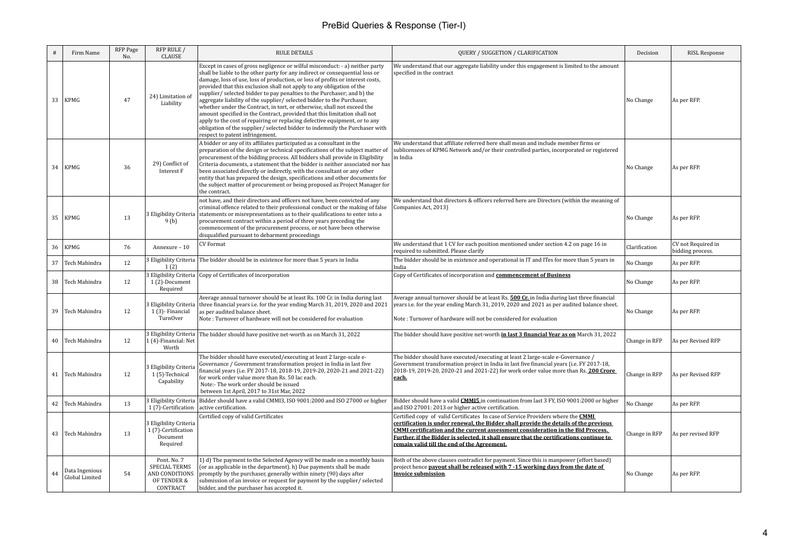|    | Firm Name                        | RFP Page<br>No. | RFP RULE /<br>CLAUSE                                                             | <b>RULE DETAILS</b>                                                                                                                                                                                                                                                                                                                                                                                                                                                                                                                                                                                                                                                                                                                                                                                                                | QUERY / SUGGETION / CLARIFICATION                                                                                                                                                                                                                                                                                                                                                                            | Decision      | <b>RISL Response</b>                   |
|----|----------------------------------|-----------------|----------------------------------------------------------------------------------|------------------------------------------------------------------------------------------------------------------------------------------------------------------------------------------------------------------------------------------------------------------------------------------------------------------------------------------------------------------------------------------------------------------------------------------------------------------------------------------------------------------------------------------------------------------------------------------------------------------------------------------------------------------------------------------------------------------------------------------------------------------------------------------------------------------------------------|--------------------------------------------------------------------------------------------------------------------------------------------------------------------------------------------------------------------------------------------------------------------------------------------------------------------------------------------------------------------------------------------------------------|---------------|----------------------------------------|
|    | 33 KPMG                          | 47              | 24) Limitation of<br>Liability                                                   | Except in cases of gross negligence or wilful misconduct: - a) neither party<br>shall be liable to the other party for any indirect or consequential loss or<br>damage, loss of use, loss of production, or loss of profits or interest costs,<br>provided that this exclusion shall not apply to any obligation of the<br>supplier/selected bidder to pay penalties to the Purchaser; and b) the<br>aggregate liability of the supplier/selected bidder to the Purchaser,<br>whether under the Contract, in tort, or otherwise, shall not exceed the<br>amount specified in the Contract, provided that this limitation shall not<br>apply to the cost of repairing or replacing defective equipment, or to any<br>obligation of the supplier/ selected bidder to indemnify the Purchaser with<br>respect to patent infringement. | We understand that our aggregate liability under this engagement is limited to the amount<br>specified in the contract                                                                                                                                                                                                                                                                                       | No Change     | As per RFP.                            |
| 34 | <b>KPMG</b>                      | 36              | 29) Conflict of<br>Interest F                                                    | A bidder or any of its affiliates participated as a consultant in the<br>preparation of the design or technical specifications of the subject matter of<br>procurement of the bidding process. All bidders shall provide in Eligibility<br>Criteria documents, a statement that the bidder is neither associated nor has<br>been associated directly or indirectly, with the consultant or any other<br>entity that has prepared the design, specifications and other documents for<br>the subject matter of procurement or being proposed as Project Manager for<br>the contract.                                                                                                                                                                                                                                                 | We understand that affiliate referred here shall mean and include member firms or<br>sublicensees of KPMG Network and/or their controlled parties, incorporated or registered<br>in India                                                                                                                                                                                                                    | No Change     | As per RFP.                            |
| 35 | <b>KPMG</b>                      | 13              | 3 Eligibility Criteria<br>9(b)                                                   | not have, and their directors and officers not have, been convicted of any<br>criminal offence related to their professional conduct or the making of false<br>statements or misrepresentations as to their qualifications to enter into a<br>procurement contract within a period of three years preceding the<br>commencement of the procurement process, or not have been otherwise<br>disqualified pursuant to debarment proceedings                                                                                                                                                                                                                                                                                                                                                                                           | We understand that directors & officers referred here are Directors (within the meaning of<br>Companies Act, 2013)                                                                                                                                                                                                                                                                                           | No Change     | As per RFP.                            |
| 36 | <b>KPMG</b>                      | 76              | Annexure - 10                                                                    | CV Format                                                                                                                                                                                                                                                                                                                                                                                                                                                                                                                                                                                                                                                                                                                                                                                                                          | We understand that 1 CV for each position mentioned under section 4.2 on page 16 in<br>required to submitted. Please clarify                                                                                                                                                                                                                                                                                 | Clarification | CV not Required in<br>bidding process. |
| 37 | Tech Mahindra                    | 12              | 1(2)                                                                             | 3 Eligibility Criteria The bidder should be in existence for more than 5 years in India                                                                                                                                                                                                                                                                                                                                                                                                                                                                                                                                                                                                                                                                                                                                            | The bidder should be in existence and operational in IT and ITes for more than 5 years in<br>India                                                                                                                                                                                                                                                                                                           | No Change     | As per RFP.                            |
|    | 38 Tech Mahindra                 | 12              | 3 Eligibility Criteria<br>1(2)-Document<br>Required                              | Copy of Certificates of incorporation                                                                                                                                                                                                                                                                                                                                                                                                                                                                                                                                                                                                                                                                                                                                                                                              | Copy of Certificates of incorporation and commencement of Business                                                                                                                                                                                                                                                                                                                                           | No Change     | As per RFP.                            |
|    | 39 Tech Mahindra                 | 12              | 3 Eligibility Criteria<br>1 (3) Financial<br>TurnOver                            | Average annual turnover should be at least Rs. 100 Cr. in India during last<br>three financial years i.e. for the year ending March 31, 2019, 2020 and 2021<br>as per audited balance sheet.<br>Note: Turnover of hardware will not be considered for evaluation                                                                                                                                                                                                                                                                                                                                                                                                                                                                                                                                                                   | Average annual turnover should be at least Rs. 500 Cr. in India during last three financial<br>years i.e. for the year ending March 31, 2019, 2020 and 2021 as per audited balance sheet.<br>Note: Turnover of hardware will not be considered for evaluation                                                                                                                                                | No Change     | As per RFP.                            |
|    | 40 Tech Mahindra                 | 12              | 1 (4)-Financial: Net<br>Worth                                                    | 3 Eligibility Criteria The bidder should have positive net-worth as on March 31, 2022                                                                                                                                                                                                                                                                                                                                                                                                                                                                                                                                                                                                                                                                                                                                              | The bidder should have positive net-worth in last 3 financial Year as on March 31, 2022                                                                                                                                                                                                                                                                                                                      | Change in RFP | As per Revised RFP                     |
| 41 | Tech Mahindra                    | 12              | <b>B</b> Eligibility Criteria<br>1(5)-Technical<br>Capability                    | The bidder should have executed/executing at least 2 large-scale e-<br>Governance / Government transformation project in India in last five<br>financial years (i.e. FY 2017-18, 2018-19, 2019-20, 2020-21 and 2021-22)<br>for work order value more than Rs. 50 lac each.<br>Note:- The work order should be issued<br>between 1st April, 2017 to 31st Mar, 2022                                                                                                                                                                                                                                                                                                                                                                                                                                                                  | The bidder should have executed/executing at least 2 large-scale e-Governance /<br>Government transformation project in India in last five financial years (i.e. FY 2017-18,<br>2018-19, 2019-20, 2020-21 and 2021-22) for work order value more than Rs. 200 Crore<br>each.                                                                                                                                 | Change in RFP | As per Revised RFP                     |
| 42 | Tech Mahindra                    | 13              | 3 Eligibility Criteria<br>1 (7)-Certification                                    | Bidder should have a valid CMMI3, ISO 9001:2000 and ISO 27000 or higher<br>active certification.                                                                                                                                                                                                                                                                                                                                                                                                                                                                                                                                                                                                                                                                                                                                   | Bidder should have a valid <b>CMMI5</b> in continuation from last 3 FY, ISO 9001:2000 or higher<br>and ISO 27001: 2013 or higher active certification.                                                                                                                                                                                                                                                       | No Change     | As per RFP.                            |
|    | 43 Tech Mahindra                 | 13              | 3 Eligibility Criteria<br>1 (7)-Certification<br>Document<br>Required            | Certified copy of valid Certificates                                                                                                                                                                                                                                                                                                                                                                                                                                                                                                                                                                                                                                                                                                                                                                                               | Certified copy of valid Certificates In case of Service Providers where the CMML<br>certification is under renewal, the Bidder shall provide the details of the previous<br><b>CMMI</b> certification and the current assessment consideration in the Bid Process.<br>Further, if the Bidder is selected, it shall ensure that the certifications continue to<br>remain valid till the end of the Agreement. | Change in RFP | As per revised RFP                     |
| 44 | Data Ingenious<br>Global Limited | 54              | Pont. No. 7<br><b>SPECIAL TERMS</b><br>AND CONDITIONS<br>OF TENDER &<br>CONTRACT | 1) d) The payment to the Selected Agency will be made on a monthly basis<br>(or as applicable in the department). h) Due payments shall be made<br>promptly by the purchaser, generally within ninety (90) days after<br>submission of an invoice or request for payment by the supplier/selected<br>bidder, and the purchaser has accepted it.                                                                                                                                                                                                                                                                                                                                                                                                                                                                                    | Both of the above clauses contradict for payment. Since this is manpower (effort based)<br>project hence <b>payout shall be released with 7 -15 working days from the date of</b><br>Invoice submission.                                                                                                                                                                                                     | No Change     | As per RFP.                            |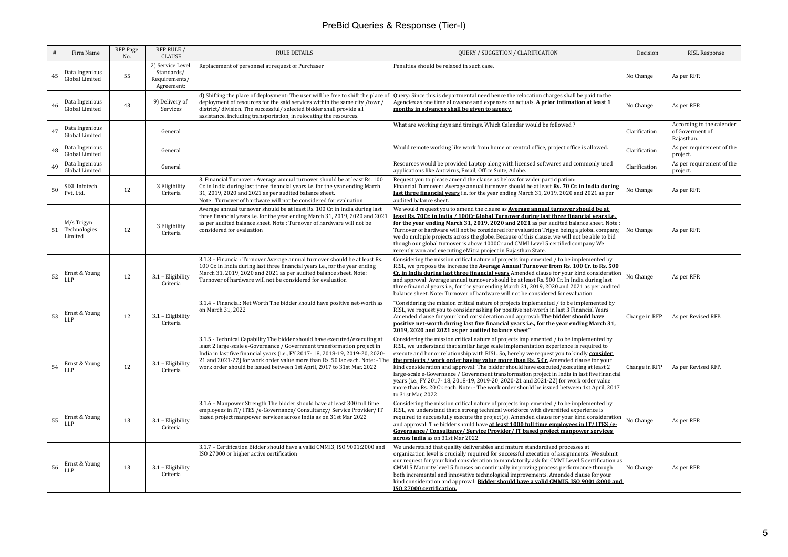|    | Firm Name                             | RFP Page<br>No. | RFP RULE /<br>CLAUSE                                          | <b>RULE DETAILS</b>                                                                                                                                                                                                                                                                                                                                                                           | QUERY / SUGGETION / CLARIFICATION                                                                                                                                                                                                                                                                                                                                                                                                                                                                                                                                                                                                                                                                                                                                   | Decision      | <b>RISL Response</b>                                       |
|----|---------------------------------------|-----------------|---------------------------------------------------------------|-----------------------------------------------------------------------------------------------------------------------------------------------------------------------------------------------------------------------------------------------------------------------------------------------------------------------------------------------------------------------------------------------|---------------------------------------------------------------------------------------------------------------------------------------------------------------------------------------------------------------------------------------------------------------------------------------------------------------------------------------------------------------------------------------------------------------------------------------------------------------------------------------------------------------------------------------------------------------------------------------------------------------------------------------------------------------------------------------------------------------------------------------------------------------------|---------------|------------------------------------------------------------|
| 45 | Data Ingenious<br>Global Limited      | 55              | 2) Service Level<br>Standards/<br>Requirements/<br>Agreement: | Replacement of personnel at request of Purchaser                                                                                                                                                                                                                                                                                                                                              | Penalties should be relaxed in such case.                                                                                                                                                                                                                                                                                                                                                                                                                                                                                                                                                                                                                                                                                                                           | No Change     | As per RFP.                                                |
| 46 | Data Ingenious<br>Global Limited      | 43              | 9) Delivery of<br>Services                                    | d) Shifting the place of deployment: The user will be free to shift the place of<br>deployment of resources for the said services within the same city /town/<br>district/division. The successful/selected bidder shall provide all<br>assistance, including transportation, in relocating the resources.                                                                                    | Query: Since this is departmental need hence the relocation charges shall be paid to the<br>Agencies as one time allowance and expenses on actuals. A prior intimation at least 1<br>months in advances shall be given to agency.                                                                                                                                                                                                                                                                                                                                                                                                                                                                                                                                   | No Change     | As per RFP.                                                |
| 47 | Data Ingenious<br>Global Limited      |                 | General                                                       |                                                                                                                                                                                                                                                                                                                                                                                               | What are working days and timings. Which Calendar would be followed?                                                                                                                                                                                                                                                                                                                                                                                                                                                                                                                                                                                                                                                                                                | Clarification | According to the calender<br>of Goverment of<br>Rajasthan. |
| 48 | Data Ingenious<br>Global Limited      |                 | General                                                       |                                                                                                                                                                                                                                                                                                                                                                                               | Would remote working like work from home or central office, project office is allowed.                                                                                                                                                                                                                                                                                                                                                                                                                                                                                                                                                                                                                                                                              | Clarification | As per requirement of the<br>project.                      |
| 49 | Data Ingenious<br>Global Limited      |                 | General                                                       |                                                                                                                                                                                                                                                                                                                                                                                               | Resources would be provided Laptop along with licensed softwares and commonly used<br>applications like Antivirus, Email, Office Suite, Adobe.                                                                                                                                                                                                                                                                                                                                                                                                                                                                                                                                                                                                                      | Clarification | As per requirement of the<br>project.                      |
| 50 | SISL Infotech<br>Pvt. Ltd.            | 12              | 3 Eligibility<br>Criteria                                     | 3. Financial Turnover : Average annual turnover should be at least Rs. 100<br>Cr. in India during last three financial years i.e. for the year ending March<br>31, 2019, 2020 and 2021 as per audited balance sheet.<br>Note: Turnover of hardware will not be considered for evaluation                                                                                                      | Request you to please amend the clause as below for wider participation:<br>Financial Turnover : Average annual turnover should be at least <b>Rs. 70 Cr. in India during</b><br>last three financial years i.e. for the year ending March 31, 2019, 2020 and 2021 as per<br>audited balance sheet.                                                                                                                                                                                                                                                                                                                                                                                                                                                                 | No Change     | As per RFP.                                                |
| 51 | M/s Trigyn<br>Technologies<br>Limited | 12              | 3 Eligibility<br>Criteria                                     | Average annual turnover should be at least Rs. 100 Cr. in India during last<br>three financial years i.e. for the year ending March 31, 2019, 2020 and 2021<br>as per audited balance sheet. Note: Turnover of hardware will not be<br>considered for evaluation                                                                                                                              | We would request you to amend the clause as <b>Average annual turnover should be at</b><br>least Rs. 70Cr. in India / 100Cr Global Turnover during last three financial years <i>i.e.</i><br>for the year ending March 31, 2019, 2020 and 2021 as per audited balance sheet. Note:<br>Turnover of hardware will not be considered for evaluation Trigyn being a global company,<br>we do multiple projects across the globe. Because of this clause, we will not be able to bid<br>though our global turnover is above 1000Cr and CMMI Level 5 certified company We<br>recently won and executing eMitra project in Rajasthan State.                                                                                                                                | No Change     | As per RFP.                                                |
| 52 | Ernst & Young<br>LLP                  | 12              | 3.1 - Eligibility<br>Criteria                                 | 3.1.3 - Financial: Turnover Average annual turnover should be at least Rs.<br>100 Cr. In India during last three financial years i.e., for the year ending<br>March 31, 2019, 2020 and 2021 as per audited balance sheet. Note:<br>Turnover of hardware will not be considered for evaluation                                                                                                 | Considering the mission critical nature of projects implemented / to be implemented by<br>RISL, we propose the increase the <b>Average Annual Turnover from Rs. 100 Cr. to Rs. 500</b><br>Cr. in India during last three financial years Amended clause for your kind consideration<br>and approval: Average annual turnover should be at least Rs. 500 Cr. In India during last<br>three financial years i.e., for the year ending March 31, 2019, 2020 and 2021 as per audited<br>balance sheet. Note: Turnover of hardware will not be considered for evaluation                                                                                                                                                                                                 | No Change     | As per RFP.                                                |
| 53 | Ernst & Young<br>LLP                  | 12              | 3.1 - Eligibility<br>Criteria                                 | 3.1.4 - Financial: Net Worth The bidder should have positive net-worth as<br>on March 31, 2022                                                                                                                                                                                                                                                                                                | "Considering the mission critical nature of projects implemented / to be implemented by<br>RISL, we request you to consider asking for positive net-worth in last 3 Financial Years<br>Amended clause for your kind consideration and approval: <b>The bidder should have</b><br>positive net-worth during last five financial years i.e., for the year ending March 31,<br>2019, 2020 and 2021 as per audited balance sheet"                                                                                                                                                                                                                                                                                                                                       | Change in RFP | As per Revised RFP.                                        |
| 54 | Ernst & Young<br>LLP                  | 12              | 3.1 - Eligibility<br>Criteria                                 | 3.1.5 - Technical Capability The bidder should have executed/executing at<br>least 2 large-scale e-Governance / Government transformation project in<br>India in last five financial years (i.e., FY 2017-18, 2018-19, 2019-20, 2020-<br>21 and 2021-22) for work order value more than Rs. 50 lac each. Note: - The<br>work order should be issued between 1st April, 2017 to 31st Mar, 2022 | Considering the mission critical nature of projects implemented / to be implemented by<br>RISL, we understand that similar large scale implementation experience is required to<br>execute and honor relationship with RISL. So, hereby we request you to kindly consider<br>the projects / work order having value more than Rs. 5 Cr. Amended clause for your<br>kind consideration and approval: The bidder should have executed/executing at least 2<br>large-scale e-Governance / Government transformation project in India in last five financial<br>years (i.e., FY 2017-18, 2018-19, 2019-20, 2020-21 and 2021-22) for work order value<br>more than Rs. 20 Cr. each. Note: - The work order should be issued between 1st April, 2017<br>to 31st Mar, 2022 | Change in RFP | As per Revised RFP.                                        |
| 55 | Ernst & Young<br>LLP                  | 13              | 3.1 - Eligibility<br>Criteria                                 | 3.1.6 - Manpower Strength The bidder should have at least 300 full time<br>employees in IT/ITES/e-Governance/Consultancy/Service Provider/IT<br>based project manpower services across India as on 31st Mar 2022                                                                                                                                                                              | Considering the mission critical nature of projects implemented / to be implemented by<br>RISL, we understand that a strong technical workforce with diversified experience is<br>required to successfully execute the project(s). Amended clause for your kind consideration<br>and approval: The bidder should have at least 1000 full time employees in IT/ITES/e-<br>Governance/Consultancy/Service Provider/IT based project manpower services<br>across India as on 31st Mar 2022                                                                                                                                                                                                                                                                             | No Change     | As per RFP.                                                |
| 56 | Ernst & Young<br>LLP                  | 13              | 3.1 - Eligibility<br>Criteria                                 | 3.1.7 - Certification Bidder should have a valid CMMI3, ISO 9001:2000 and<br>ISO 27000 or higher active certification                                                                                                                                                                                                                                                                         | We understand that quality deliverables and mature standardized processes at<br>organization level is crucially required for successful execution of assignments. We submit<br>our request for your kind consideration to mandatorily ask for CMMI Level 5 certification as<br>CMMI 5 Maturity level 5 focuses on continually improving process performance through<br>both incremental and innovative technological improvements. Amended clause for your<br>kind consideration and approval: Bidder should have a valid CMMI5. ISO 9001:2000 and<br>ISO 27000 certification.                                                                                                                                                                                      | No Change     | As per RFP.                                                |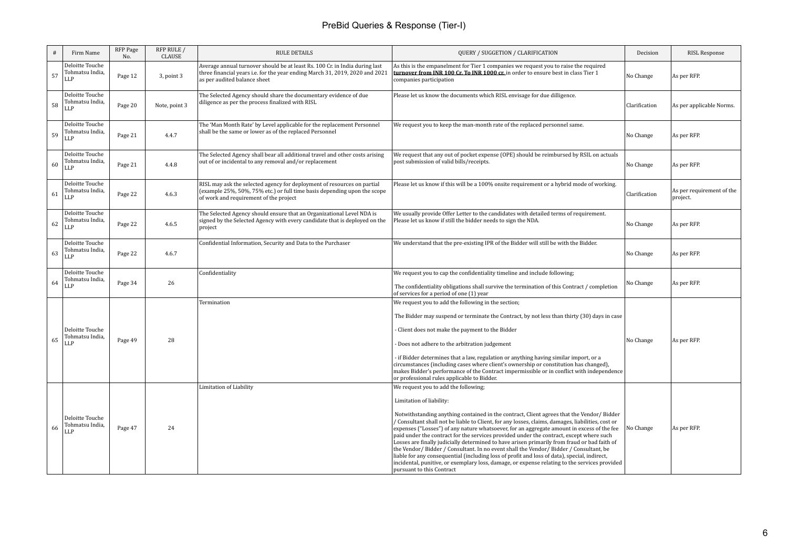|    | Firm Name                                 | RFP Page<br>No. | RFP RULE /<br>CLAUSE | <b>RULE DETAILS</b>                                                                                                                                                                           | QUERY / SUGGETION / CLARIFICATION                                                                                                                                                                                                                                                                                                                                                                                                                                                                                                                                                                                                                                                                                                                                                                                                                                                    | Decision      | <b>RISL Response</b>                  |
|----|-------------------------------------------|-----------------|----------------------|-----------------------------------------------------------------------------------------------------------------------------------------------------------------------------------------------|--------------------------------------------------------------------------------------------------------------------------------------------------------------------------------------------------------------------------------------------------------------------------------------------------------------------------------------------------------------------------------------------------------------------------------------------------------------------------------------------------------------------------------------------------------------------------------------------------------------------------------------------------------------------------------------------------------------------------------------------------------------------------------------------------------------------------------------------------------------------------------------|---------------|---------------------------------------|
| 57 | Deloitte Touche<br>Tohmatsu India,<br>LLP | Page 12         | 3, point 3           | Average annual turnover should be at least Rs. 100 Cr. in India during last<br>three financial years i.e. for the year ending March 31, 2019, 2020 and 2021<br>as per audited balance sheet   | As this is the empanelment for Tier 1 companies we request you to raise the required<br>turnover from INR 100 Cr. To INR 1000 cr. in order to ensure best in class Tier 1<br>companies participation                                                                                                                                                                                                                                                                                                                                                                                                                                                                                                                                                                                                                                                                                 | No Change     | As per RFP.                           |
| 58 | Deloitte Touche<br>Tohmatsu India,<br>LLP | Page 20         | Note, point 3        | The Selected Agency should share the documentary evidence of due<br>diligence as per the process finalized with RISL                                                                          | Please let us know the documents which RISL envisage for due dilligence.                                                                                                                                                                                                                                                                                                                                                                                                                                                                                                                                                                                                                                                                                                                                                                                                             | Clarification | As per applicable Norms.              |
| 59 | Deloitte Touche<br>Tohmatsu India,<br>LLP | Page 21         | 4.4.7                | The 'Man Month Rate' by Level applicable for the replacement Personnel<br>shall be the same or lower as of the replaced Personnel                                                             | We request you to keep the man-month rate of the replaced personnel same.                                                                                                                                                                                                                                                                                                                                                                                                                                                                                                                                                                                                                                                                                                                                                                                                            | No Change     | As per RFP.                           |
| 60 | Deloitte Touche<br>Tohmatsu India,<br>LLP | Page 21         | 4.4.8                | The Selected Agency shall bear all additional travel and other costs arising<br>out of or incidental to any removal and/or replacement                                                        | We request that any out of pocket expense (OPE) should be reimbursed by RSIL on actuals<br>post submission of valid bills/receipts.                                                                                                                                                                                                                                                                                                                                                                                                                                                                                                                                                                                                                                                                                                                                                  | No Change     | As per RFP.                           |
| 61 | Deloitte Touche<br>Tohmatsu India,<br>LLP | Page 22         | 4.6.3                | RISL may ask the selected agency for deployment of resources on partial<br>(example 25%, 50%, 75% etc.) or full time basis depending upon the scope<br>of work and requirement of the project | Please let us know if this will be a 100% onsite requirement or a hybrid mode of working.                                                                                                                                                                                                                                                                                                                                                                                                                                                                                                                                                                                                                                                                                                                                                                                            | Clarification | As per requirement of the<br>project. |
| 62 | Deloitte Touche<br>Tohmatsu India,<br>LLP | Page 22         | 4.6.5                | The Selected Agency should ensure that an Organizational Level NDA is<br>signed by the Selected Agency with every candidate that is deployed on the<br>project                                | We usually provide Offer Letter to the candidates with detailed terms of requirement.<br>Please let us know if still the bidder needs to sign the NDA.                                                                                                                                                                                                                                                                                                                                                                                                                                                                                                                                                                                                                                                                                                                               | No Change     | As per RFP.                           |
| 63 | Deloitte Touche<br>Tohmatsu India,<br>LLP | Page 22         | 4.6.7                | Confidential Information, Security and Data to the Purchaser                                                                                                                                  | We understand that the pre-existing IPR of the Bidder will still be with the Bidder.                                                                                                                                                                                                                                                                                                                                                                                                                                                                                                                                                                                                                                                                                                                                                                                                 | No Change     | As per RFP.                           |
| 64 | Deloitte Touche<br>Tohmatsu India,<br>LLP | Page 34         | 26                   | Confidentiality                                                                                                                                                                               | We request you to cap the confidentiality timeline and include following;<br>The confidentiality obligations shall survive the termination of this Contract / completion<br>of services for a period of one (1) year                                                                                                                                                                                                                                                                                                                                                                                                                                                                                                                                                                                                                                                                 | No Change     | As per RFP.                           |
| 65 | Deloitte Touche<br>Tohmatsu India,<br>LLP | Page 49         | 28                   | Termination                                                                                                                                                                                   | We request you to add the following in the section;<br>The Bidder may suspend or terminate the Contract, by not less than thirty (30) days in case<br>- Client does not make the payment to the Bidder<br>Does not adhere to the arbitration judgement<br>- if Bidder determines that a law, regulation or anything having similar import, or a<br>circumstances (including cases where client's ownership or constitution has changed),<br>makes Bidder's performance of the Contract impermissible or in conflict with independence<br>or professional rules applicable to Bidder.                                                                                                                                                                                                                                                                                                 | No Change     | As per RFP.                           |
| 66 | Deloitte Touche<br>Tohmatsu India,<br>LLP | Page 47         | 24                   | Limitation of Liability                                                                                                                                                                       | We request you to add the following;<br>Limitation of liability:<br>Notwithstanding anything contained in the contract, Client agrees that the Vendor/Bidder<br>/ Consultant shall not be liable to Client, for any losses, claims, damages, liabilities, cost or<br>expenses ("Losses") of any nature whatsoever, for an aggregate amount in excess of the fee<br>paid under the contract for the services provided under the contract, except where such<br>Losses are finally judicially determined to have arisen primarily from fraud or bad faith of<br>the Vendor / Bidder / Consultant. In no event shall the Vendor / Bidder / Consultant, be<br>liable for any consequential (including loss of profit and loss of data), special, indirect,<br>incidental, punitive, or exemplary loss, damage, or expense relating to the services provided<br>pursuant to this Contract | No Change     | As per RFP.                           |